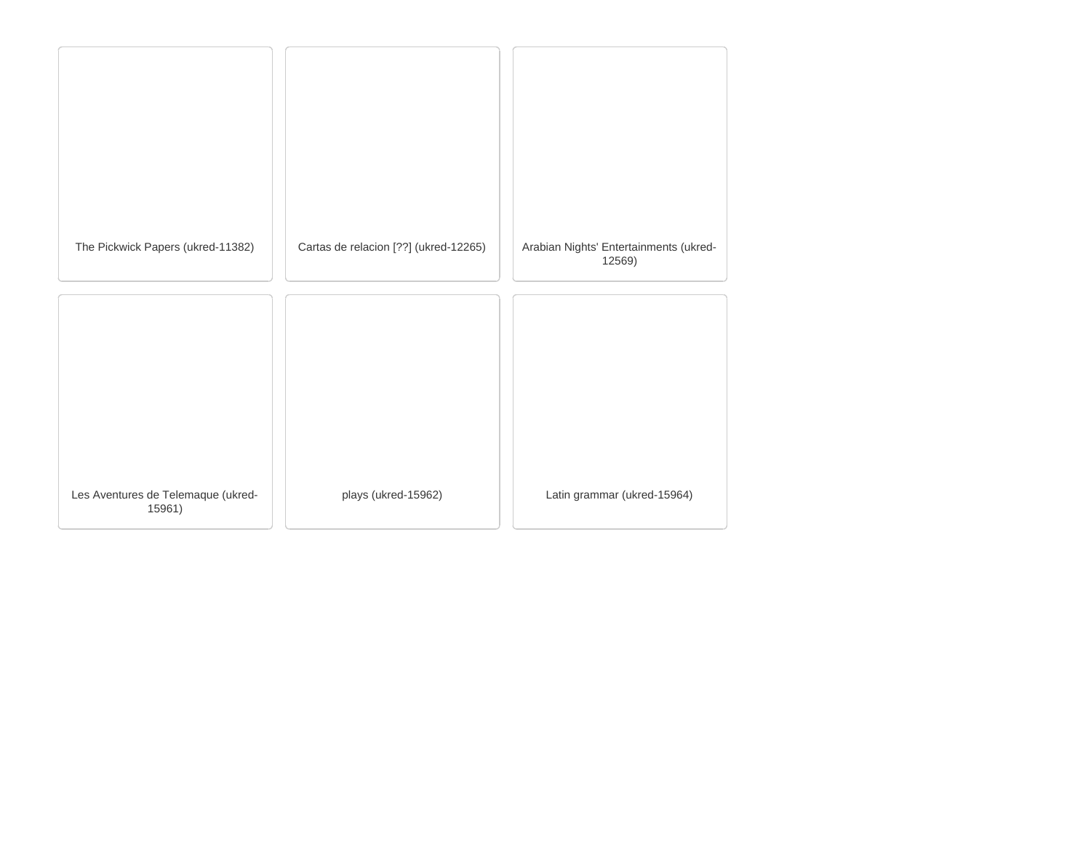| The Pickwick Papers (ukred-11382)            | Cartas de relacion [??] (ukred-12265) | Arabian Nights' Entertainments (ukred-<br>12569) |
|----------------------------------------------|---------------------------------------|--------------------------------------------------|
|                                              |                                       |                                                  |
|                                              |                                       |                                                  |
|                                              |                                       |                                                  |
|                                              |                                       |                                                  |
|                                              |                                       |                                                  |
|                                              |                                       |                                                  |
|                                              |                                       |                                                  |
| Les Aventures de Telemaque (ukred-<br>15961) | plays (ukred-15962)                   | Latin grammar (ukred-15964)                      |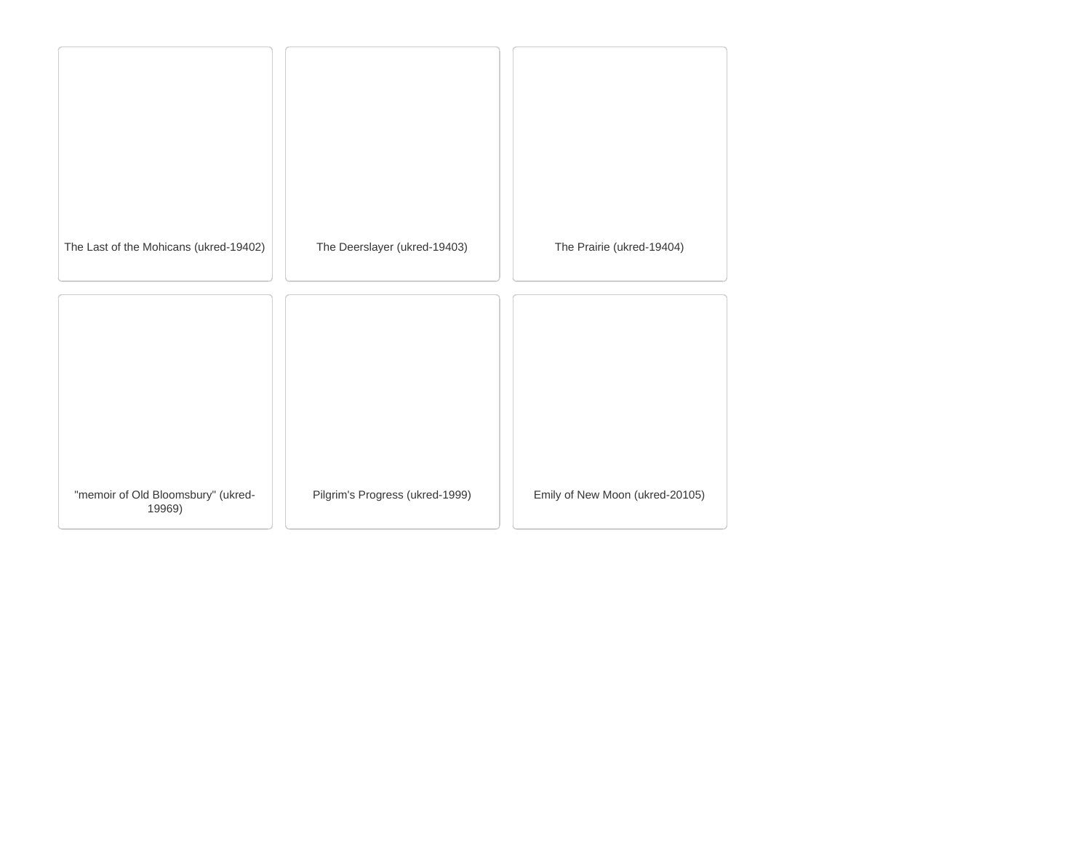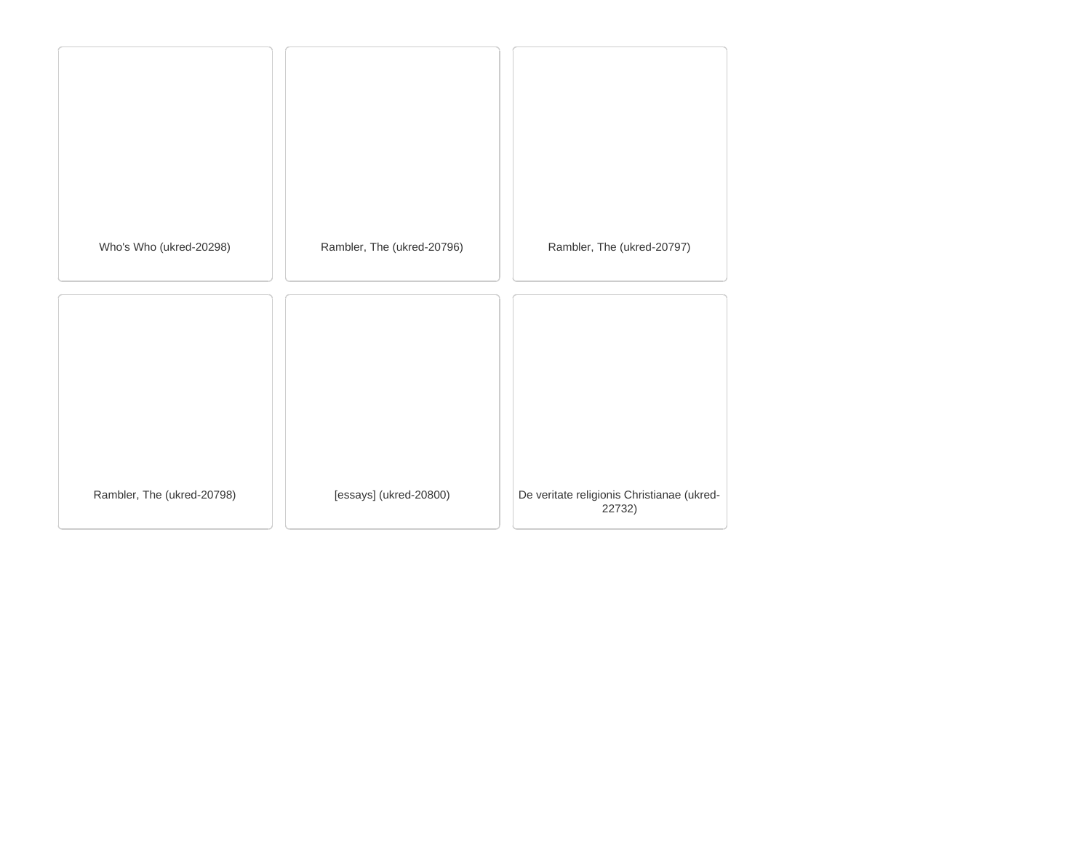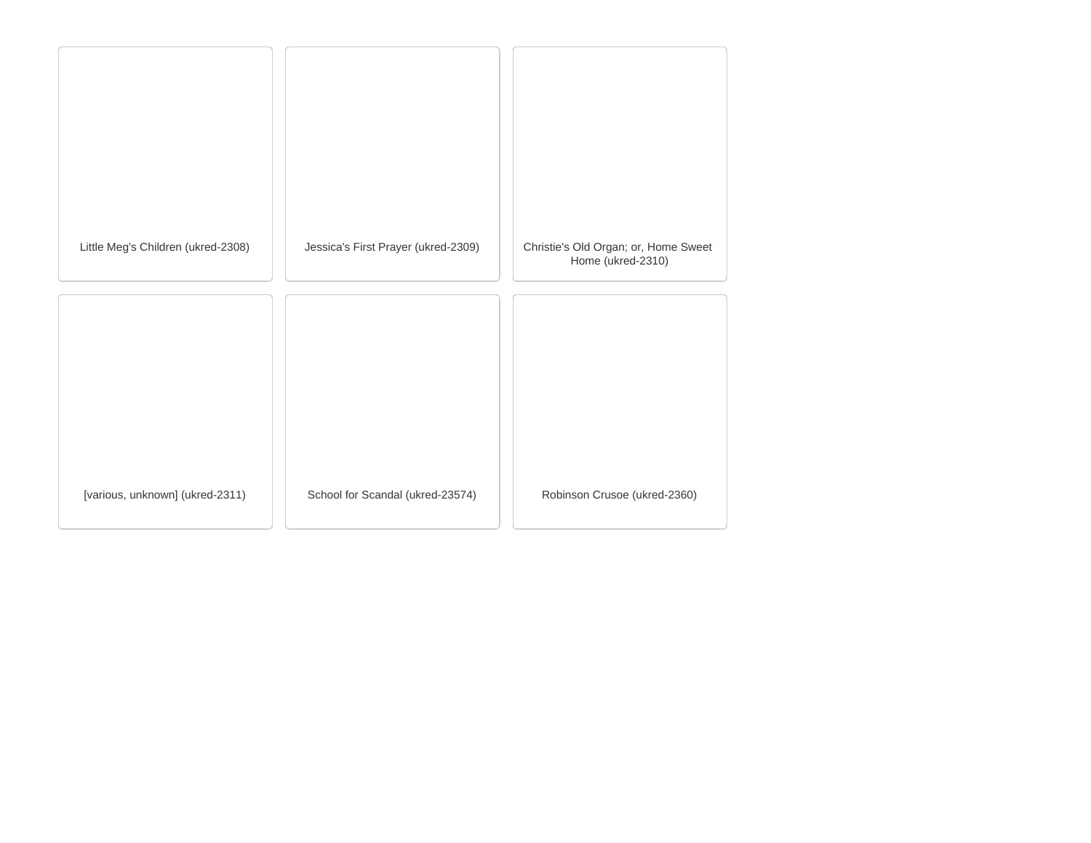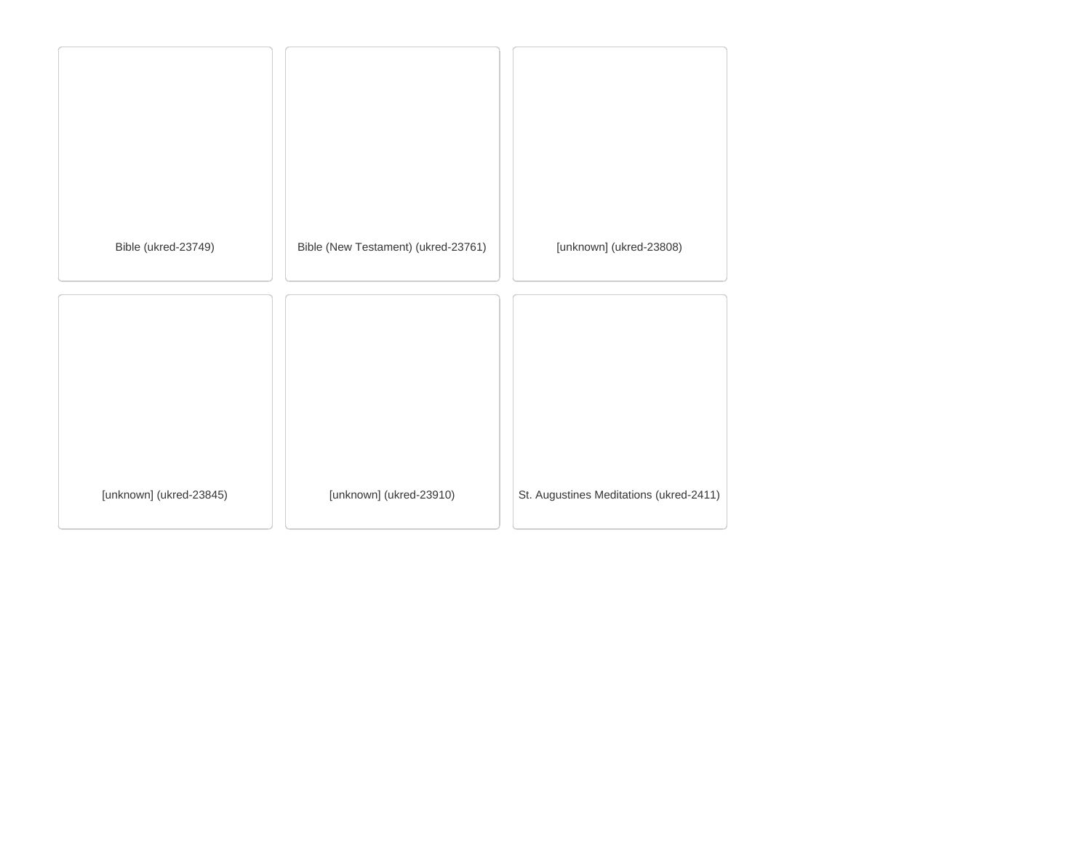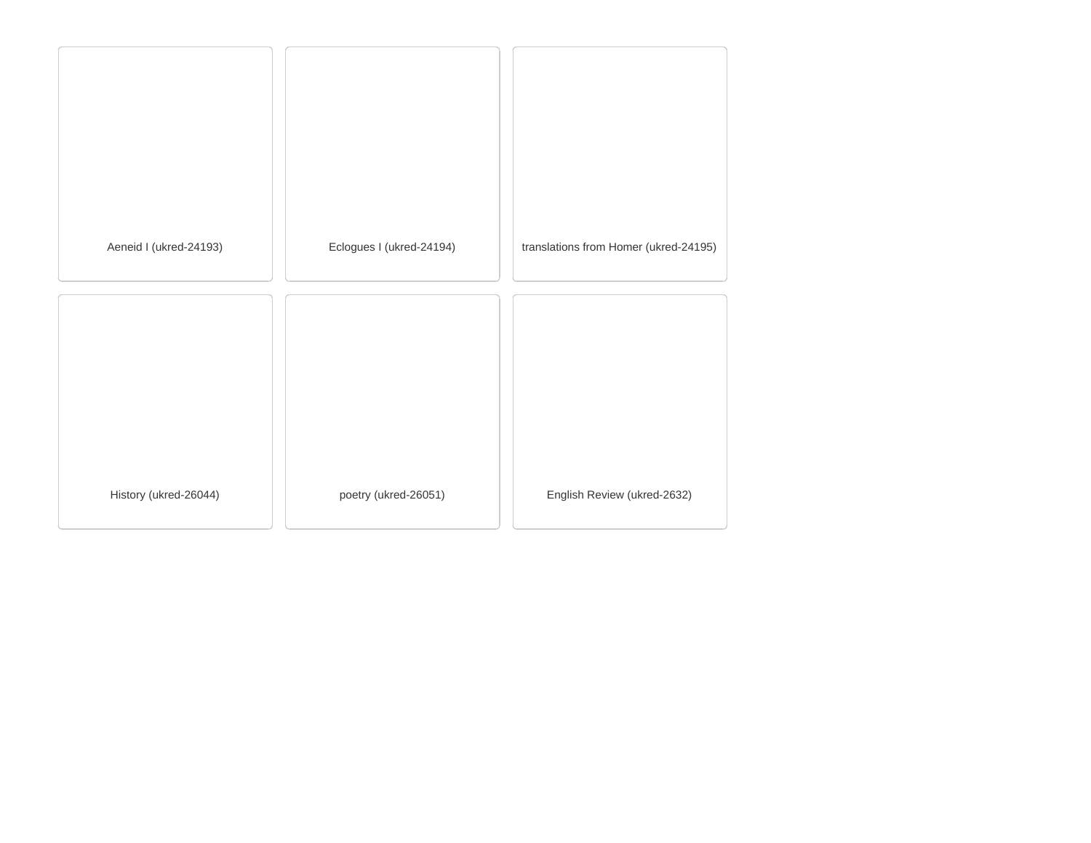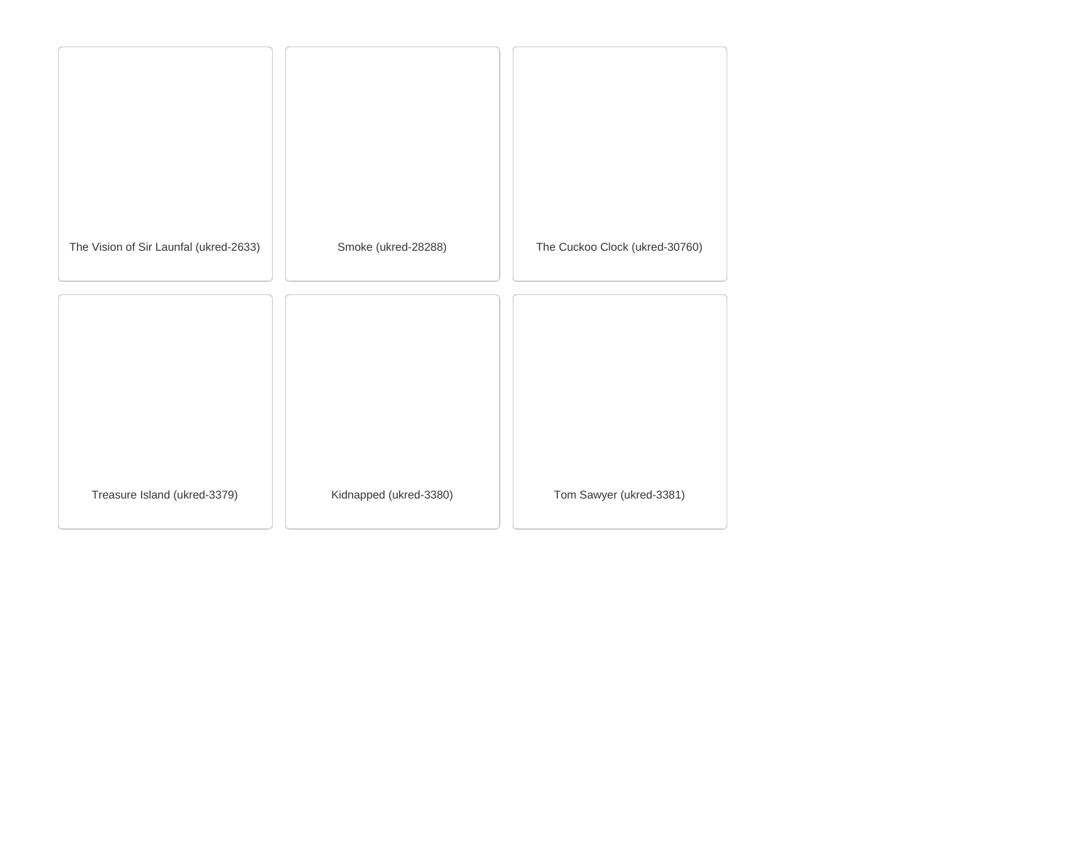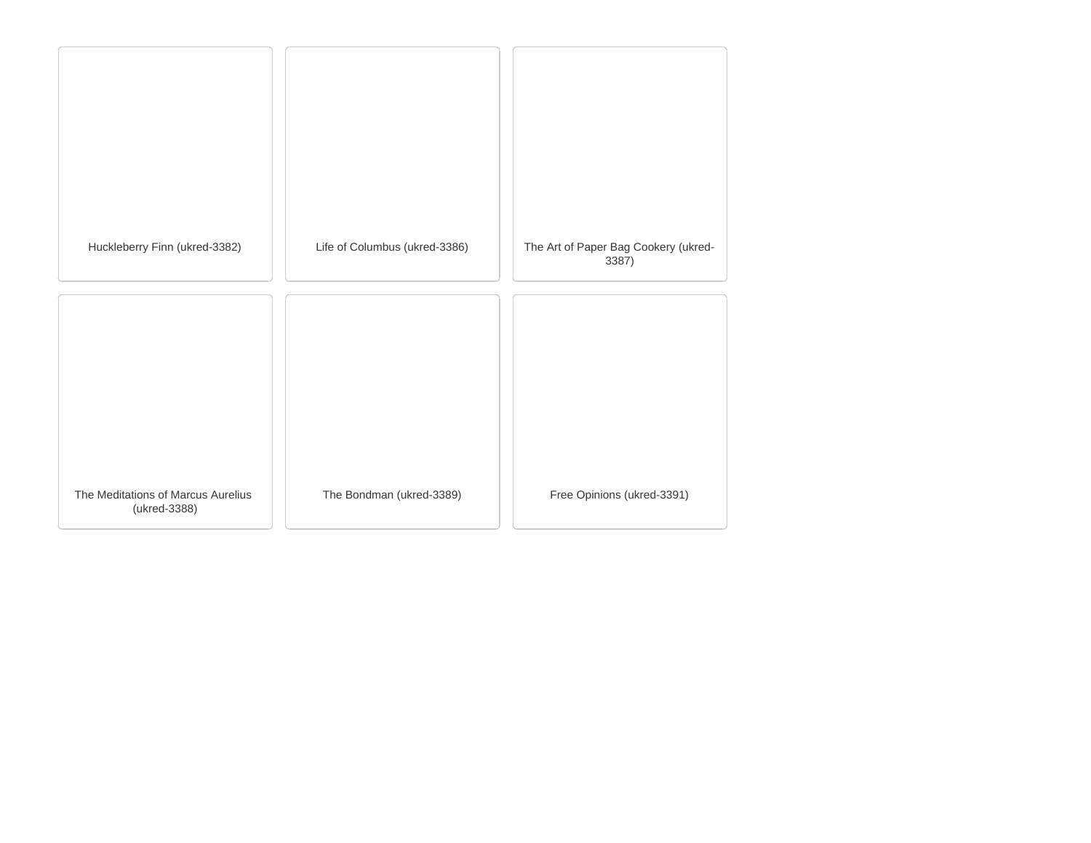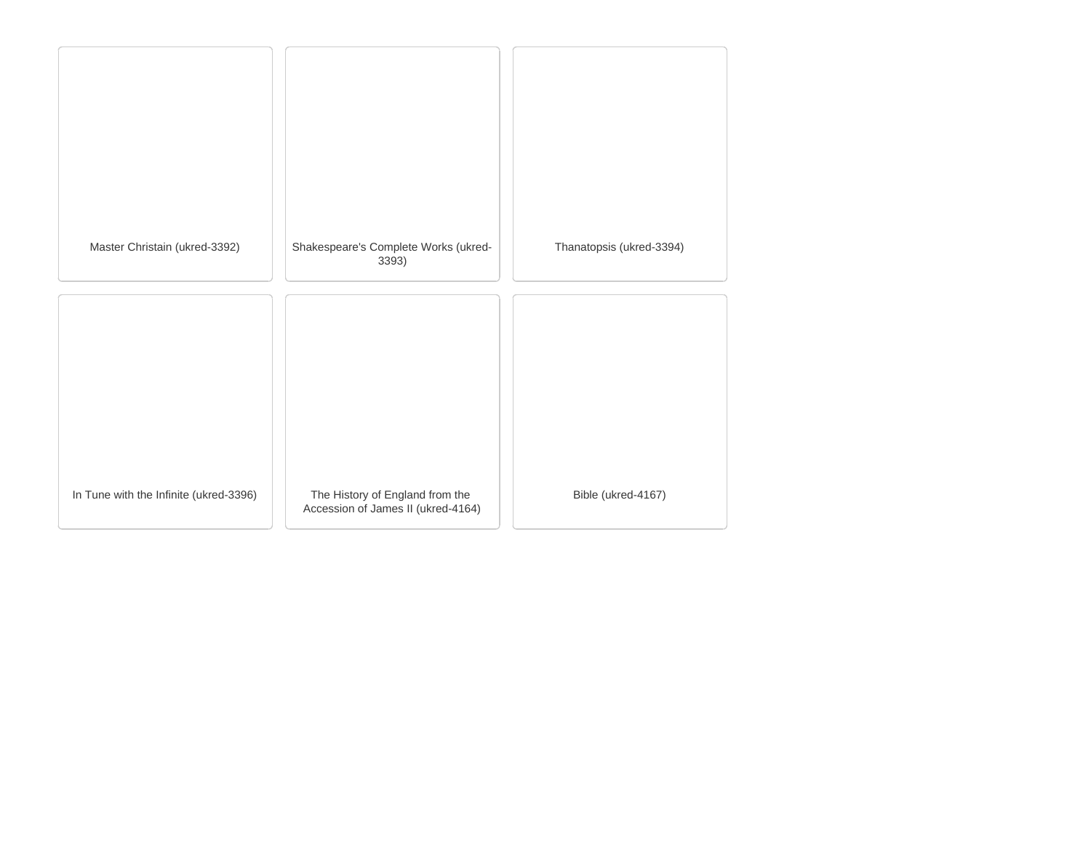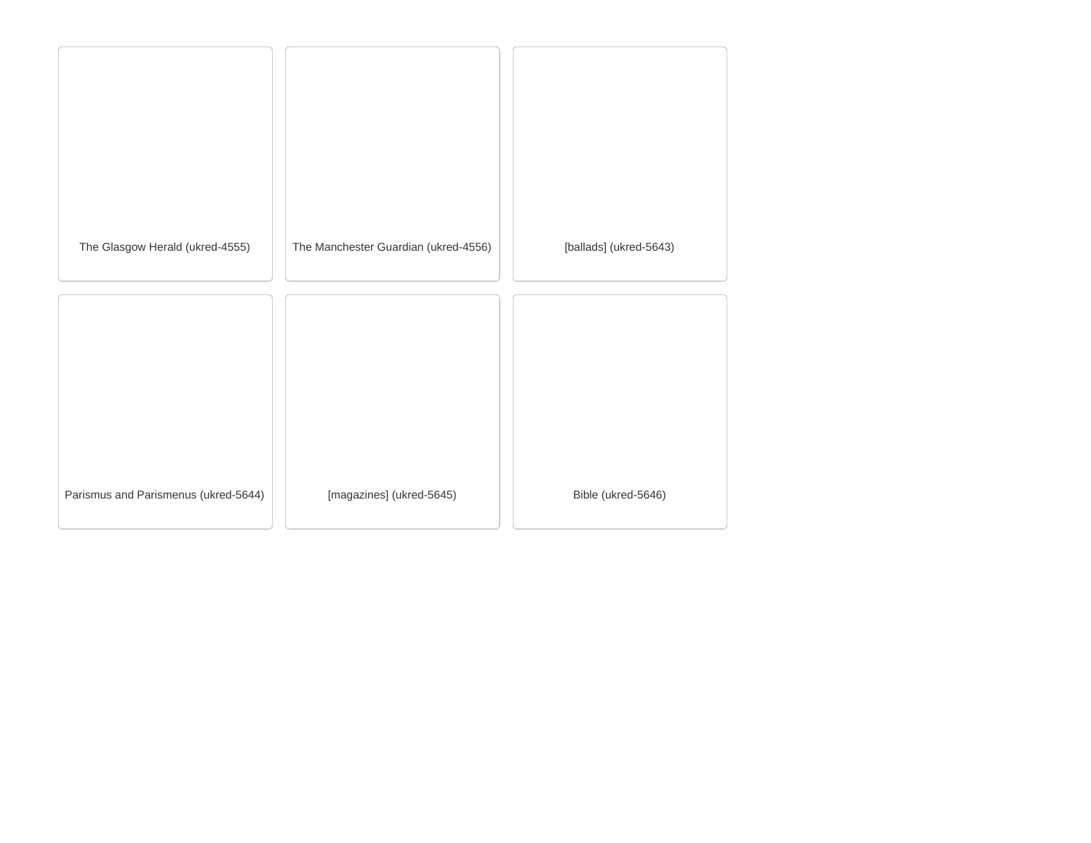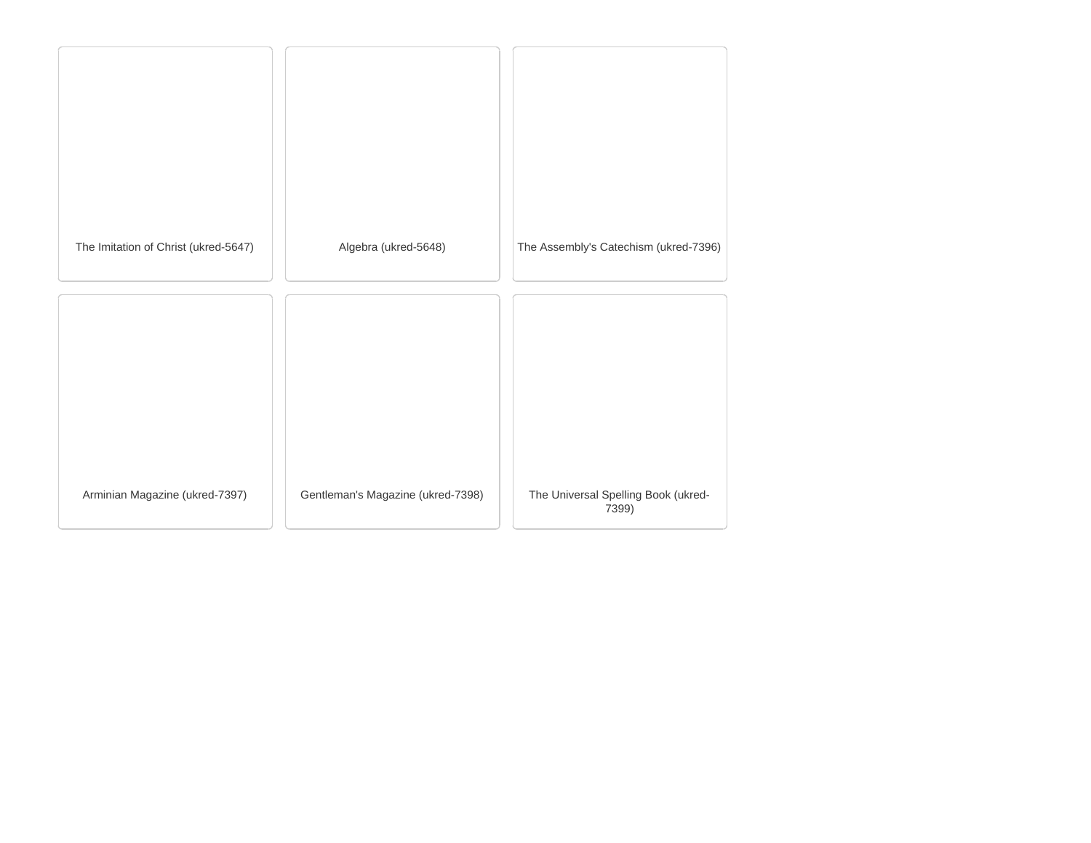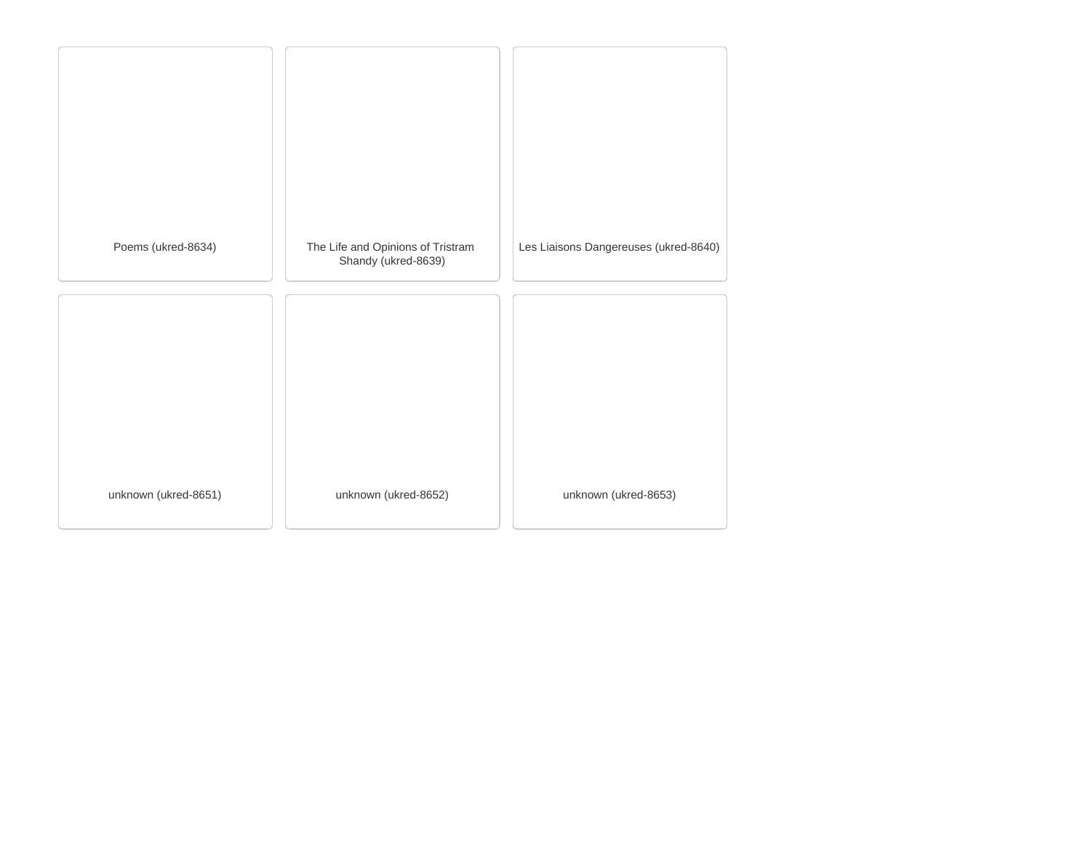| Poems (ukred-8634)   | The Life and Opinions of Tristram<br>Shandy (ukred-8639) | Les Liaisons Dangereuses (ukred-8640) |
|----------------------|----------------------------------------------------------|---------------------------------------|
|                      |                                                          |                                       |
|                      |                                                          |                                       |
|                      |                                                          |                                       |
| unknown (ukred-8651) | unknown (ukred-8652)                                     | unknown (ukred-8653)                  |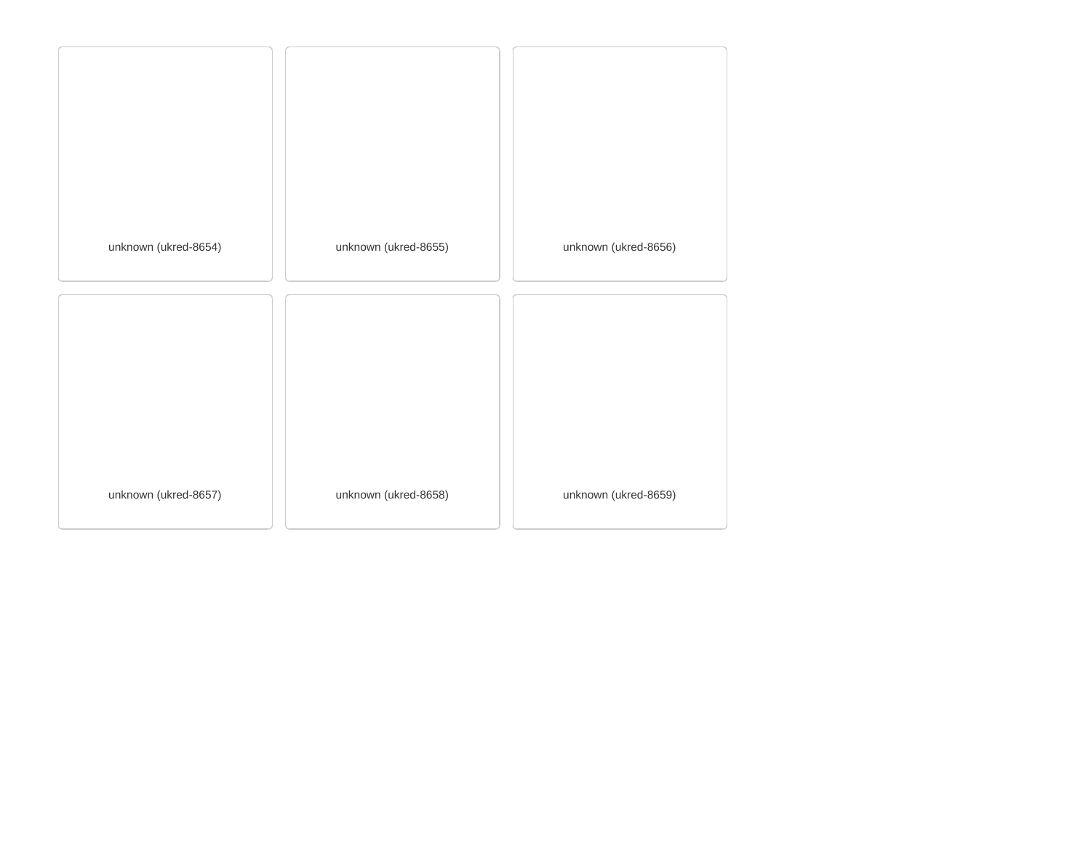